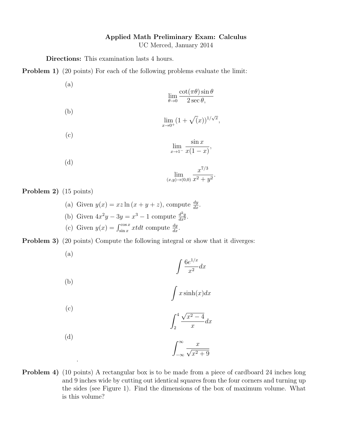## Applied Math Preliminary Exam: Calculus

UC Merced, January 2014

Directions: This examination lasts 4 hours.

Problem 1) (20 points) For each of the following problems evaluate the limit:

(a)  $\lim_{\theta \to 0}$  $\cot(\pi\theta)\sin\theta$  $2 \sec \theta$ , (b)  $\lim_{x \to 0^+} (1 + \sqrt{(x)})^{1/\sqrt{x}},$ (c)  $\lim_{x\to 1^{-}}$  $\sin x$  $x(1-x)$ , (d)  $\lim_{(x,y)\to(0,0)}$  $x^{7/3}$  $\frac{x}{x^2+y^2}.$ 

Problem 2) (15 points)

.

(a) Given  $y(x) = xz \ln(x + y + z)$ , compute  $\frac{dy}{dx}$ . (b) Given  $4x^2y - 3y = x^3 - 1$  compute  $\frac{d^2y}{dx^2}$  $\frac{d^2y}{dx^2}$ . (c) Given  $y(x) = \int_{\sin x}^{\cos x} x t dt$  compute  $\frac{dy}{dx}$ .

Problem 3) (20 points) Compute the following integral or show that it diverges:

(a)  $\int 6e^{1/x}$  $\frac{c}{x^2}$  dx (b)  $\int x \sinh(x) dx$ (c)  $\int_0^4$ 2 √  $x^2-4$  $\boldsymbol{x}$  $dx$ (d)  $\int^{\infty}$ −∞  $\frac{x}{\sqrt{2}}$  $x^2 + 9$ 

Problem 4) (10 points) A rectangular box is to be made from a piece of cardboard 24 inches long and 9 inches wide by cutting out identical squares from the four corners and turning up the sides (see Figure 1). Find the dimensions of the box of maximum volume. What is this volume?